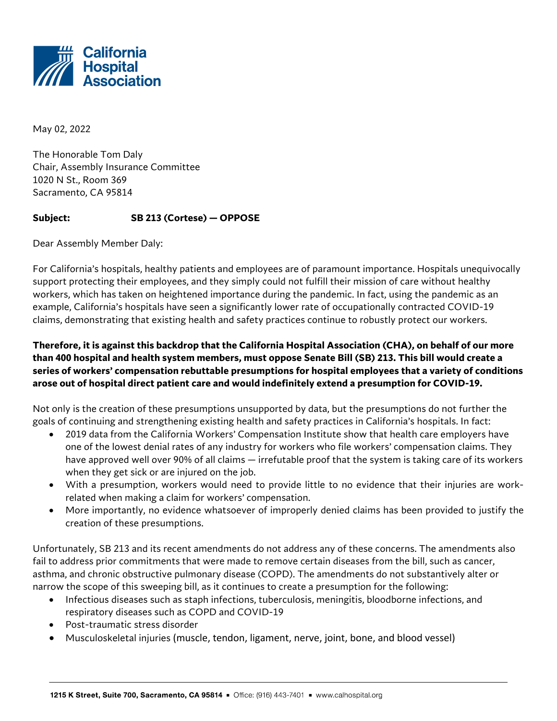

May 02, 2022

The Honorable Tom Daly Chair, Assembly Insurance Committee 1020 N St., Room 369 Sacramento, CA 95814

## **Subject: SB 213 (Cortese) — OPPOSE**

Dear Assembly Member Daly:

For California's hospitals, healthy patients and employees are of paramount importance. Hospitals unequivocally support protecting their employees, and they simply could not fulfill their mission of care without healthy workers, which has taken on heightened importance during the pandemic. In fact, using the pandemic as an example, California's hospitals have seen a significantly lower rate of occupationally contracted COVID-19 claims, demonstrating that existing health and safety practices continue to robustly protect our workers.

## **Therefore, it is against this backdrop that the California Hospital Association (CHA), on behalf of our more than 400 hospital and health system members, must oppose Senate Bill (SB) 213. This bill would create a series of workers' compensation rebuttable presumptions for hospital employees that a variety of conditions arose out of hospital direct patient care and would indefinitely extend a presumption for COVID-19.**

Not only is the creation of these presumptions unsupported by data, but the presumptions do not further the goals of continuing and strengthening existing health and safety practices in California's hospitals. In fact:

- 2019 data from the California Workers' Compensation Institute show that health care employers have one of the lowest denial rates of any industry for workers who file workers' compensation claims. They have approved well over 90% of all claims — irrefutable proof that the system is taking care of its workers when they get sick or are injured on the job.
- With a presumption, workers would need to provide little to no evidence that their injuries are workrelated when making a claim for workers' compensation.
- More importantly, no evidence whatsoever of improperly denied claims has been provided to justify the creation of these presumptions.

Unfortunately, SB 213 and its recent amendments do not address any of these concerns. The amendments also fail to address prior commitments that were made to remove certain diseases from the bill, such as cancer, asthma, and chronic obstructive pulmonary disease (COPD). The amendments do not substantively alter or narrow the scope of this sweeping bill, as it continues to create a presumption for the following:

- Infectious diseases such as staph infections, tuberculosis, meningitis, bloodborne infections, and respiratory diseases such as COPD and COVID-19
- Post-traumatic stress disorder
- Musculoskeletal injuries (muscle, tendon, ligament, nerve, joint, bone, and blood vessel)